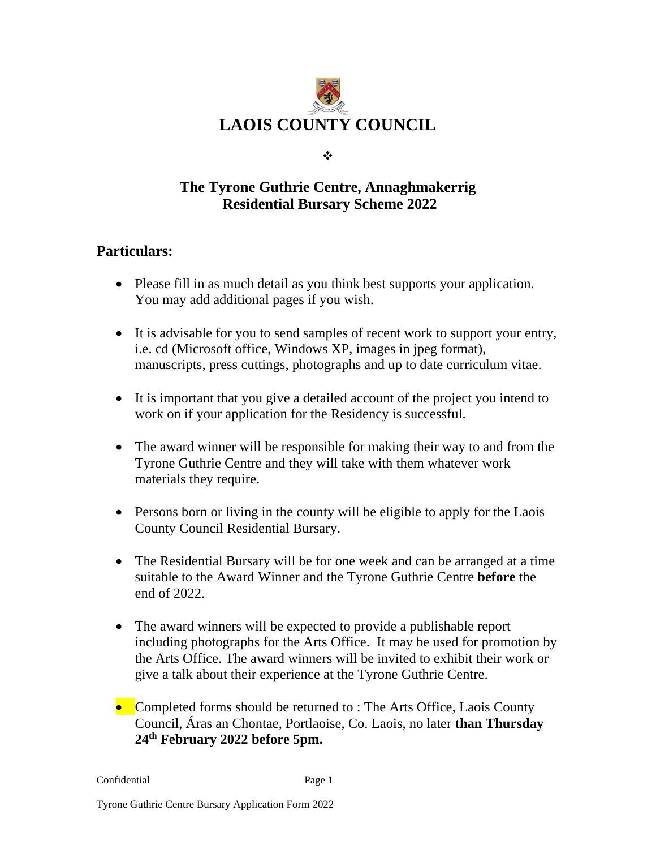

❖

## **The Tyrone Guthrie Centre, Annaghmakerrig Residential Bursary Scheme 2022**

## **Particulars:**

- Please fill in as much detail as you think best supports your application. You may add additional pages if you wish.
- It is advisable for you to send samples of recent work to support your entry, i.e. cd (Microsoft office, Windows XP, images in jpeg format), manuscripts, press cuttings, photographs and up to date curriculum vitae.
- It is important that you give a detailed account of the project you intend to work on if your application for the Residency is successful.
- The award winner will be responsible for making their way to and from the Tyrone Guthrie Centre and they will take with them whatever work materials they require.
- Persons born or living in the county will be eligible to apply for the Laois County Council Residential Bursary.
- The Residential Bursary will be for one week and can be arranged at a time suitable to the Award Winner and the Tyrone Guthrie Centre **before** the end of 2022.
- The award winners will be expected to provide a publishable report including photographs for the Arts Office. It may be used for promotion by the Arts Office. The award winners will be invited to exhibit their work or give a talk about their experience at the Tyrone Guthrie Centre.
- Completed forms should be returned to : The Arts Office, Laois County Council, Áras an Chontae, Portlaoise, Co. Laois, no later **than Thursday 24 th February 2022 before 5pm.**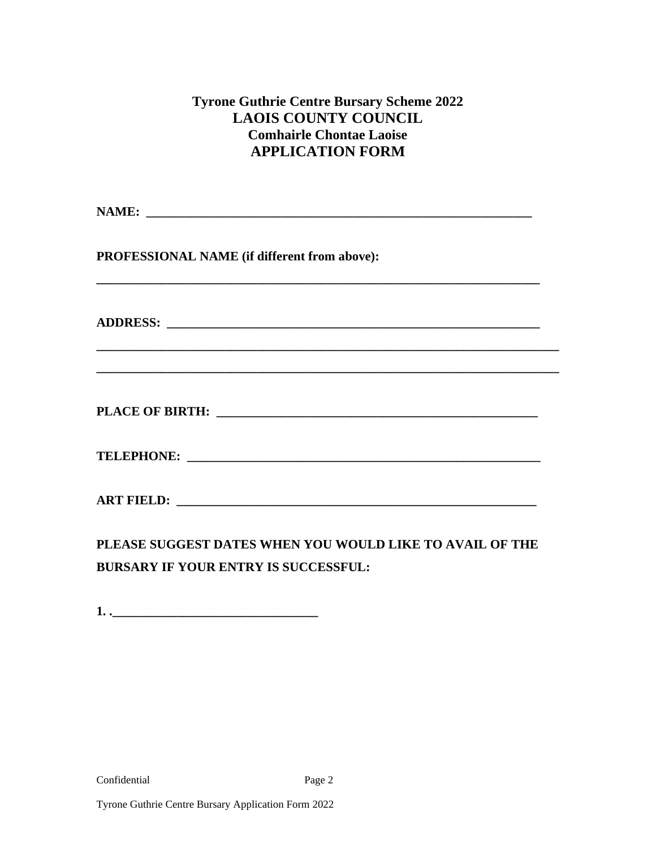### **Tyrone Guthrie Centre Bursary Scheme 2022 LAOIS COUNTY COUNCIL Comhairle Chontae Laoise APPLICATION FORM**

| PROFESSIONAL NAME (if different from above): |  |
|----------------------------------------------|--|
|                                              |  |
|                                              |  |
|                                              |  |
|                                              |  |
|                                              |  |
|                                              |  |

**PLEASE SUGGEST DATES WHEN YOU WOULD LIKE TO AVAIL OF THE BURSARY IF YOUR ENTRY IS SUCCESSFUL:**

**1. .\_\_\_\_\_\_\_\_\_\_\_\_\_\_\_\_\_\_\_\_\_\_\_\_\_\_\_\_\_\_\_\_**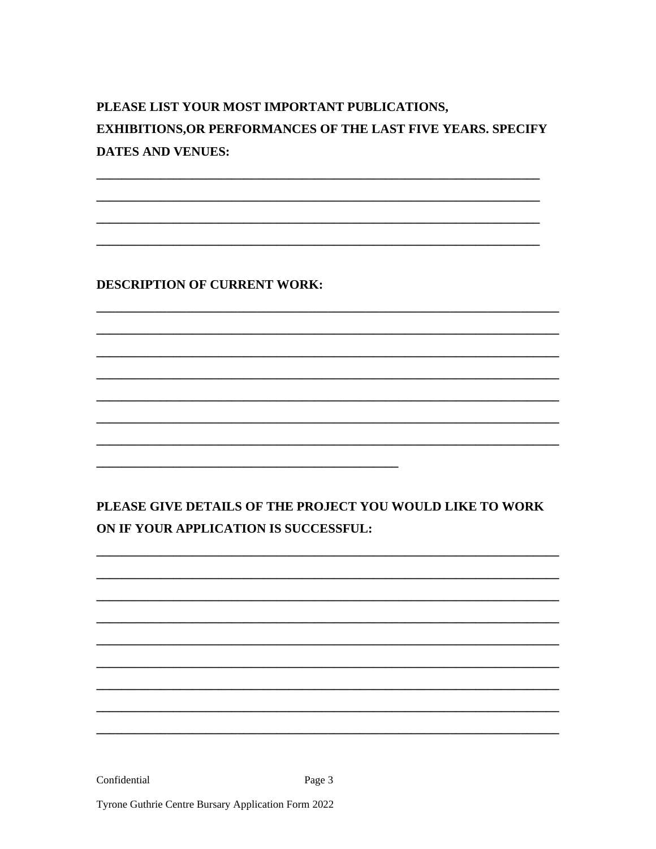# PLEASE LIST YOUR MOST IMPORTANT PUBLICATIONS, **EXHIBITIONS, OR PERFORMANCES OF THE LAST FIVE YEARS. SPECIFY DATES AND VENUES:**

**DESCRIPTION OF CURRENT WORK:** 

PLEASE GIVE DETAILS OF THE PROJECT YOU WOULD LIKE TO WORK ON IF YOUR APPLICATION IS SUCCESSFUL:

Confidential

Page 3

Tyrone Guthrie Centre Bursary Application Form 2022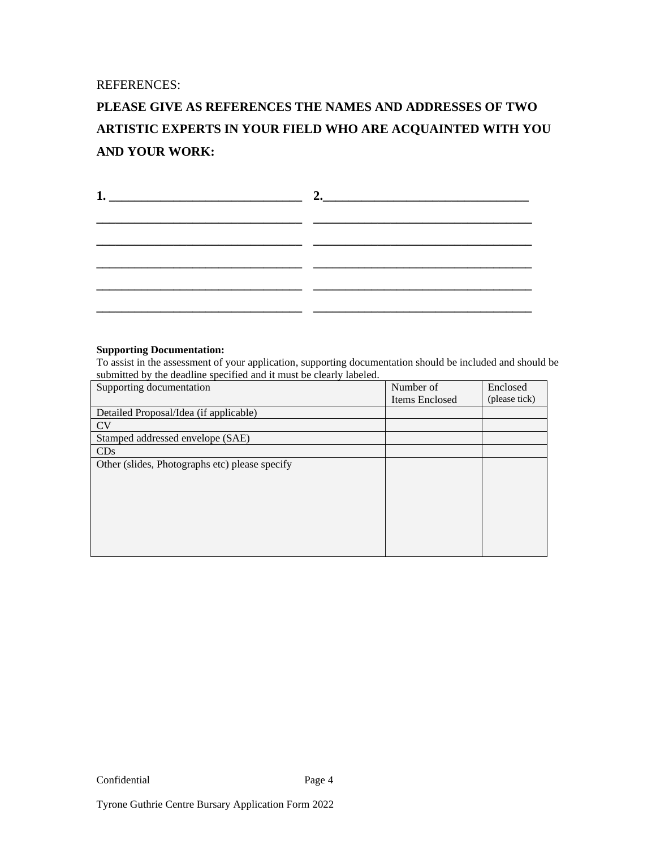REFERENCES:

## **PLEASE GIVE AS REFERENCES THE NAMES AND ADDRESSES OF TWO ARTISTIC EXPERTS IN YOUR FIELD WHO ARE ACQUAINTED WITH YOU AND YOUR WORK:**

### **Supporting Documentation:**

To assist in the assessment of your application, supporting documentation should be included and should be submitted by the deadline specified and it must be clearly labeled.

| Supporting documentation                       | Number of      | Enclosed      |
|------------------------------------------------|----------------|---------------|
|                                                | Items Enclosed | (please tick) |
| Detailed Proposal/Idea (if applicable)         |                |               |
| <b>CV</b>                                      |                |               |
| Stamped addressed envelope (SAE)               |                |               |
| CDs                                            |                |               |
| Other (slides, Photographs etc) please specify |                |               |
|                                                |                |               |
|                                                |                |               |
|                                                |                |               |
|                                                |                |               |
|                                                |                |               |
|                                                |                |               |
|                                                |                |               |